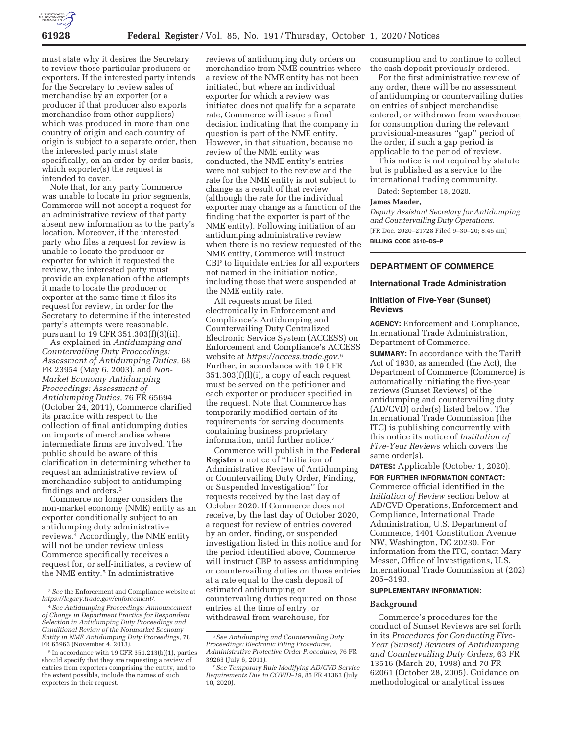

must state why it desires the Secretary to review those particular producers or exporters. If the interested party intends for the Secretary to review sales of merchandise by an exporter (or a producer if that producer also exports merchandise from other suppliers) which was produced in more than one country of origin and each country of origin is subject to a separate order, then the interested party must state specifically, on an order-by-order basis, which exporter(s) the request is intended to cover.

Note that, for any party Commerce was unable to locate in prior segments, Commerce will not accept a request for an administrative review of that party absent new information as to the party's location. Moreover, if the interested party who files a request for review is unable to locate the producer or exporter for which it requested the review, the interested party must provide an explanation of the attempts it made to locate the producer or exporter at the same time it files its request for review, in order for the Secretary to determine if the interested party's attempts were reasonable, pursuant to 19 CFR 351.303(f)(3)(ii).

As explained in *Antidumping and Countervailing Duty Proceedings: Assessment of Antidumping Duties,* 68 FR 23954 (May 6, 2003), and *Non-Market Economy Antidumping Proceedings: Assessment of Antidumping Duties,* 76 FR 65694 (October 24, 2011), Commerce clarified its practice with respect to the collection of final antidumping duties on imports of merchandise where intermediate firms are involved. The public should be aware of this clarification in determining whether to request an administrative review of merchandise subject to antidumping findings and orders.3

Commerce no longer considers the non-market economy (NME) entity as an exporter conditionally subject to an antidumping duty administrative reviews.4 Accordingly, the NME entity will not be under review unless Commerce specifically receives a request for, or self-initiates, a review of the NME entity.<sup>5</sup> In administrative

reviews of antidumping duty orders on merchandise from NME countries where a review of the NME entity has not been initiated, but where an individual exporter for which a review was initiated does not qualify for a separate rate, Commerce will issue a final decision indicating that the company in question is part of the NME entity. However, in that situation, because no review of the NME entity was conducted, the NME entity's entries were not subject to the review and the rate for the NME entity is not subject to change as a result of that review (although the rate for the individual exporter may change as a function of the finding that the exporter is part of the NME entity). Following initiation of an antidumping administrative review when there is no review requested of the NME entity, Commerce will instruct CBP to liquidate entries for all exporters not named in the initiation notice, including those that were suspended at the NME entity rate.

All requests must be filed electronically in Enforcement and Compliance's Antidumping and Countervailing Duty Centralized Electronic Service System (ACCESS) on Enforcement and Compliance's ACCESS website at *https://access.trade.gov*.6 Further, in accordance with 19 CFR 351.303(f)(l)(i), a copy of each request must be served on the petitioner and each exporter or producer specified in the request. Note that Commerce has temporarily modified certain of its requirements for serving documents containing business proprietary information, until further notice.7

Commerce will publish in the **Federal Register** a notice of ''Initiation of Administrative Review of Antidumping or Countervailing Duty Order, Finding, or Suspended Investigation'' for requests received by the last day of October 2020. If Commerce does not receive, by the last day of October 2020, a request for review of entries covered by an order, finding, or suspended investigation listed in this notice and for the period identified above, Commerce will instruct CBP to assess antidumping or countervailing duties on those entries at a rate equal to the cash deposit of estimated antidumping or countervailing duties required on those entries at the time of entry, or withdrawal from warehouse, for

consumption and to continue to collect the cash deposit previously ordered.

For the first administrative review of any order, there will be no assessment of antidumping or countervailing duties on entries of subject merchandise entered, or withdrawn from warehouse, for consumption during the relevant provisional-measures ''gap'' period of the order, if such a gap period is applicable to the period of review.

This notice is not required by statute but is published as a service to the international trading community.

Dated: September 18, 2020.

#### **James Maeder,**

*Deputy Assistant Secretary for Antidumping and Countervailing Duty Operations.*  [FR Doc. 2020–21728 Filed 9–30–20; 8:45 am] **BILLING CODE 3510–DS–P** 

## **DEPARTMENT OF COMMERCE**

### **International Trade Administration**

#### **Initiation of Five-Year (Sunset) Reviews**

**AGENCY:** Enforcement and Compliance, International Trade Administration, Department of Commerce.

**SUMMARY:** In accordance with the Tariff Act of 1930, as amended (the Act), the Department of Commerce (Commerce) is automatically initiating the five-year reviews (Sunset Reviews) of the antidumping and countervailing duty (AD/CVD) order(s) listed below. The International Trade Commission (the ITC) is publishing concurrently with this notice its notice of *Institution of Five-Year Reviews* which covers the same order(s).

**DATES:** Applicable (October 1, 2020). **FOR FURTHER INFORMATION CONTACT:**  Commerce official identified in the *Initiation of Review* section below at AD/CVD Operations, Enforcement and Compliance, International Trade Administration, U.S. Department of Commerce, 1401 Constitution Avenue NW, Washington, DC 20230. For information from the ITC, contact Mary Messer, Office of Investigations, U.S. International Trade Commission at (202) 205–3193.

# **SUPPLEMENTARY INFORMATION:**

#### **Background**

Commerce's procedures for the conduct of Sunset Reviews are set forth in its *Procedures for Conducting Five-Year (Sunset) Reviews of Antidumping and Countervailing Duty Orders,* 63 FR 13516 (March 20, 1998) and 70 FR 62061 (October 28, 2005). Guidance on methodological or analytical issues

<sup>3</sup>*See* the Enforcement and Compliance website at *https://legacy.trade.gov/enforcement/*.

<sup>4</sup>*See Antidumping Proceedings: Announcement of Change in Department Practice for Respondent Selection in Antidumping Duty Proceedings and Conditional Review of the Nonmarket Economy Entity in NME Antidumping Duty Proceedings,* 78 FR 65963 (November 4, 2013).

<sup>&</sup>lt;sup>5</sup> In accordance with 19 CFR 351.213(b)(1), parties should specify that they are requesting a review of entries from exporters comprising the entity, and to the extent possible, include the names of such exporters in their request.

<sup>6</sup>*See Antidumping and Countervailing Duty Proceedings: Electronic Filing Procedures; Administrative Protective Order Procedures,* 76 FR 39263 (July 6, 2011).

<sup>7</sup>*See Temporary Rule Modifying AD/CVD Service Requirements Due to COVID–19,* 85 FR 41363 (July  $10, 2020$ ).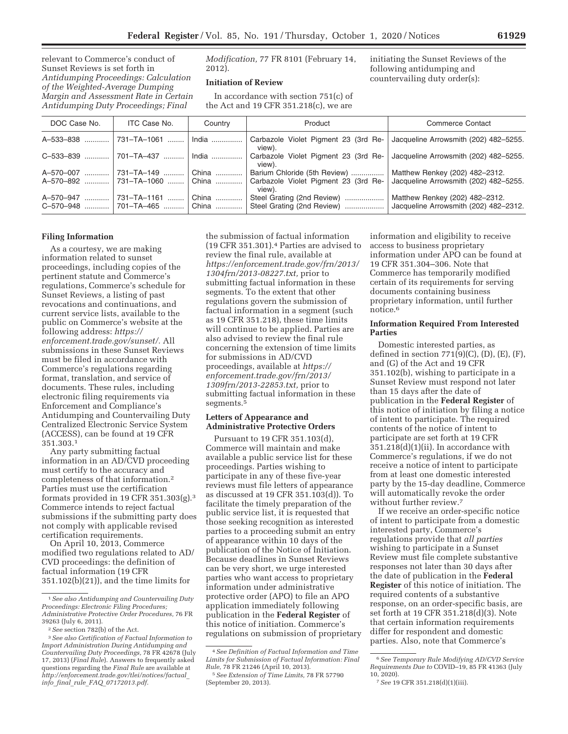relevant to Commerce's conduct of Sunset Reviews is set forth in *Antidumping Proceedings: Calculation of the Weighted-Average Dumping Margin and Assessment Rate in Certain Antidumping Duty Proceedings; Final* 

*Modification,* 77 FR 8101 (February 14, 2012).

# **Initiation of Review**

In accordance with section 751(c) of the Act and 19 CFR 351.218(c), we are

initiating the Sunset Reviews of the following antidumping and countervailing duty order(s):

| DOC Case No.                | ITC Case No.              | Country          | Product                                                  | <b>Commerce Contact</b>                                                 |
|-----------------------------|---------------------------|------------------|----------------------------------------------------------|-------------------------------------------------------------------------|
| A-533-838                   | 731-TA-1061               | India            | Carbazole Violet Pigment 23 (3rd Re-<br>view).           | Jacqueline Arrowsmith (202) 482-5255.                                   |
| C-533-839                   | 701-TA-437                | $India$          | Carbazole Violet Pigment 23 (3rd Re-<br>view).           | Jacqueline Arrowsmith (202) 482-5255.                                   |
| A-570-007<br>.              | 731-TA-149                | China            | Barium Chloride (5th Review)                             | Matthew Renkey (202) 482-2312.                                          |
| A-570-892                   | 731–TA–1060  China        |                  | Carbazole Violet Pigment 23 (3rd Re-<br>view).           | Jacqueline Arrowsmith (202) 482-5255.                                   |
| A-570-947<br>.<br>C-570-948 | 731-TA-1161<br>701–TA–465 | China<br>l China | Steel Grating (2nd Review)<br>Steel Grating (2nd Review) | Matthew Renkey (202) 482-2312.<br>Jacqueline Arrowsmith (202) 482-2312. |

### **Filing Information**

As a courtesy, we are making information related to sunset proceedings, including copies of the pertinent statute and Commerce's regulations, Commerce's schedule for Sunset Reviews, a listing of past revocations and continuations, and current service lists, available to the public on Commerce's website at the following address: *https:// enforcement.trade.gov/sunset/.* All submissions in these Sunset Reviews must be filed in accordance with Commerce's regulations regarding format, translation, and service of documents. These rules, including electronic filing requirements via Enforcement and Compliance's Antidumping and Countervailing Duty Centralized Electronic Service System (ACCESS), can be found at 19 CFR 351.303.1

Any party submitting factual information in an AD/CVD proceeding must certify to the accuracy and completeness of that information.2 Parties must use the certification formats provided in 19 CFR 351.303(g).3 Commerce intends to reject factual submissions if the submitting party does not comply with applicable revised certification requirements.

On April 10, 2013, Commerce modified two regulations related to AD/ CVD proceedings: the definition of factual information (19 CFR 351.102(b)(21)), and the time limits for

the submission of factual information (19 CFR 351.301).4 Parties are advised to review the final rule, available at *https://enforcement.trade.gov/frn/2013/ 1304frn/2013-08227.txt,* prior to submitting factual information in these segments. To the extent that other regulations govern the submission of factual information in a segment (such as 19 CFR 351.218), these time limits will continue to be applied. Parties are also advised to review the final rule concerning the extension of time limits for submissions in AD/CVD proceedings, available at *https:// enforcement.trade.gov/frn/2013/ 1309frn/2013-22853.txt,* prior to submitting factual information in these segments.5

## **Letters of Appearance and Administrative Protective Orders**

Pursuant to 19 CFR 351.103(d), Commerce will maintain and make available a public service list for these proceedings. Parties wishing to participate in any of these five-year reviews must file letters of appearance as discussed at 19 CFR 351.103(d)). To facilitate the timely preparation of the public service list, it is requested that those seeking recognition as interested parties to a proceeding submit an entry of appearance within 10 days of the publication of the Notice of Initiation. Because deadlines in Sunset Reviews can be very short, we urge interested parties who want access to proprietary information under administrative protective order (APO) to file an APO application immediately following publication in the **Federal Register** of this notice of initiation. Commerce's regulations on submission of proprietary

information and eligibility to receive access to business proprietary information under APO can be found at 19 CFR 351.304–306. Note that Commerce has temporarily modified certain of its requirements for serving documents containing business proprietary information, until further notice.6

#### **Information Required From Interested Parties**

Domestic interested parties, as defined in section  $771(9)(C)$ ,  $(D)$ ,  $(E)$ ,  $(F)$ , and (G) of the Act and 19 CFR 351.102(b), wishing to participate in a Sunset Review must respond not later than 15 days after the date of publication in the **Federal Register** of this notice of initiation by filing a notice of intent to participate. The required contents of the notice of intent to participate are set forth at 19 CFR  $351.218(d)(1)(ii)$ . In accordance with Commerce's regulations, if we do not receive a notice of intent to participate from at least one domestic interested party by the 15-day deadline, Commerce will automatically revoke the order without further review.7

If we receive an order-specific notice of intent to participate from a domestic interested party, Commerce's regulations provide that *all parties*  wishing to participate in a Sunset Review must file complete substantive responses not later than 30 days after the date of publication in the **Federal Register** of this notice of initiation. The required contents of a substantive response, on an order-specific basis, are set forth at 19 CFR 351.218(d)(3). Note that certain information requirements differ for respondent and domestic parties. Also, note that Commerce's

<sup>1</sup>*See also Antidumping and Countervailing Duty Proceedings: Electronic Filing Procedures; Administrative Protective Order Procedures,* 76 FR 39263 (July 6, 2011).

<sup>2</sup>*See* section 782(b) of the Act.

<sup>3</sup>*See also Certification of Factual Information to Import Administration During Antidumping and Countervailing Duty Proceedings,* 78 FR 42678 (July 17, 2013) (*Final Rule*). Answers to frequently asked questions regarding the *Final Rule* are available at *http://enforcement.trade.gov/tlei/notices/factual*\_ *info*\_*final*\_*rule*\_*FAQ*\_*07172013.pdf.* 

<sup>4</sup>*See Definition of Factual Information and Time Limits for Submission of Factual Information: Final Rule,* 78 FR 21246 (April 10, 2013).

<sup>5</sup>*See Extension of Time Limits,* 78 FR 57790 (September 20, 2013).

<sup>6</sup>*See Temporary Rule Modifying AD/CVD Service Requirements Due to* COVID–19, 85 FR 41363 (July 10, 2020).

<sup>7</sup>*See* 19 CFR 351.218(d)(1)(iii).